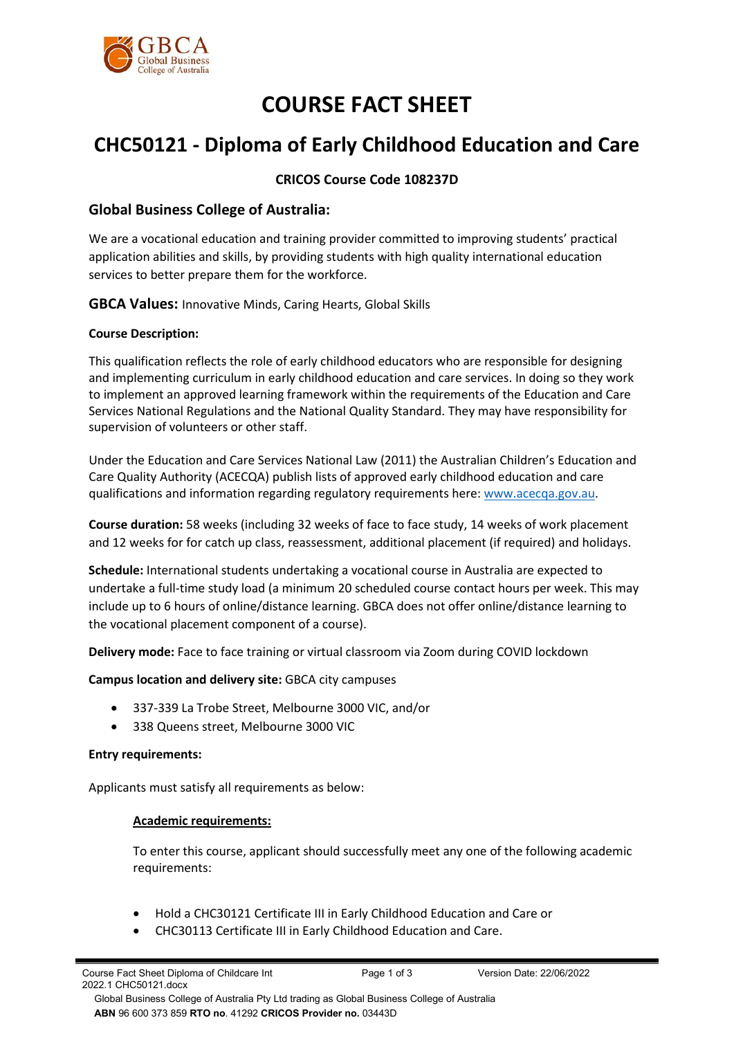

# **COURSE FACT SHEET**

## **CHC50121 - Diploma of Early Childhood Education and Care**

### **CRICOS Course Code 108237D**

## **Global Business College of Australia:**

We are a vocational education and training provider committed to improving students' practical application abilities and skills, by providing students with high quality international education services to better prepare them for the workforce.

**GBCA Values:** Innovative Minds, Caring Hearts, Global Skills

#### **Course Description:**

This qualification reflects the role of early childhood educators who are responsible for designing and implementing curriculum in early childhood education and care services. In doing so they work to implement an approved learning framework within the requirements of the Education and Care Services National Regulations and the National Quality Standard. They may have responsibility for supervision of volunteers or other staff.

Under the Education and Care Services National Law (2011) the Australian Children's Education and Care Quality Authority (ACECQA) publish lists of approved early childhood education and care qualifications and information regarding regulatory requirements here[: www.acecqa.gov.au.](http://www.acecqa.gov.au/)

**Course duration:** 58 weeks (including 32 weeks of face to face study, 14 weeks of work placement and 12 weeks for for catch up class, reassessment, additional placement (if required) and holidays.

**Schedule:** International students undertaking a vocational course in Australia are expected to undertake a full-time study load (a minimum 20 scheduled course contact hours per week. This may include up to 6 hours of online/distance learning. GBCA does not offer online/distance learning to the vocational placement component of a course).

**Delivery mode:** Face to face training or virtual classroom via Zoom during COVID lockdown

**Campus location and delivery site:** GBCA city campuses

- 337-339 La Trobe Street, Melbourne 3000 VIC, and/or
- 338 Queens street, Melbourne 3000 VIC

#### **Entry requirements:**

Applicants must satisfy all requirements as below:

#### **Academic requirements:**

To enter this course, applicant should successfully meet any one of the following academic requirements:

- Hold a CHC30121 Certificate III in Early Childhood Education and Care or
- CHC30113 Certificate III in Early Childhood Education and Care.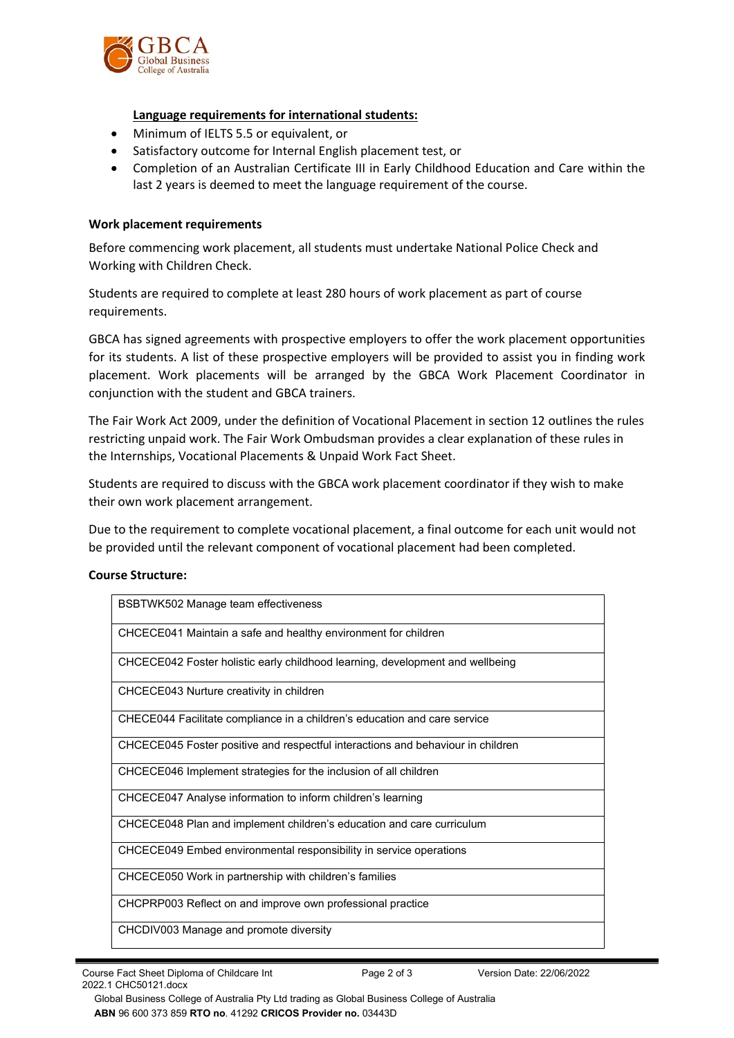

#### **Language requirements for international students:**

- Minimum of IELTS 5.5 or equivalent, or
- Satisfactory outcome for Internal English placement test, or
- Completion of an Australian Certificate III in Early Childhood Education and Care within the last 2 years is deemed to meet the language requirement of the course.

#### **Work placement requirements**

Before commencing work placement, all students must undertake National Police Check and Working with Children Check.

Students are required to complete at least 280 hours of work placement as part of course requirements.

GBCA has signed agreements with prospective employers to offer the work placement opportunities for its students. A list of these prospective employers will be provided to assist you in finding work placement. Work placements will be arranged by the GBCA Work Placement Coordinator in conjunction with the student and GBCA trainers.

The Fair Work Act 2009, under the definition of Vocational Placement in [section 12](http://www.austlii.edu.au/au/legis/cth/consol_act/fwa2009114/s12.html) outlines the rules restricting unpaid work. The Fair Work Ombudsman provides a clear explanation of these rules in the [Internships, Vocational Placements & Unpaid Work Fact Sheet.](http://www.holmesglen.edu.au/students/graduate_employment/employment_resources/employment_resources/work_experience) 

Students are required to discuss with the GBCA work placement coordinator if they wish to make their own work placement arrangement.

Due to the requirement to complete vocational placement, a final outcome for each unit would not be provided until the relevant component of vocational placement had been completed.

#### **Course Structure:**

| BSBTWK502 Manage team effectiveness                                             |
|---------------------------------------------------------------------------------|
| CHCECE041 Maintain a safe and healthy environment for children                  |
| CHCECE042 Foster holistic early childhood learning, development and wellbeing   |
| CHCECE043 Nurture creativity in children                                        |
| CHECE044 Facilitate compliance in a children's education and care service       |
| CHCECE045 Foster positive and respectful interactions and behaviour in children |
| CHCECE046 Implement strategies for the inclusion of all children                |
| CHCECE047 Analyse information to inform children's learning                     |
| CHCECE048 Plan and implement children's education and care curriculum           |
| CHCECE049 Embed environmental responsibility in service operations              |
| CHCECE050 Work in partnership with children's families                          |
| CHCPRP003 Reflect on and improve own professional practice                      |
| CHCDIV003 Manage and promote diversity                                          |

 Global Business College of Australia Pty Ltd trading as Global Business College of Australia  **ABN** 96 600 373 859 **RTO no**. 41292 **CRICOS Provider no.** 03443D